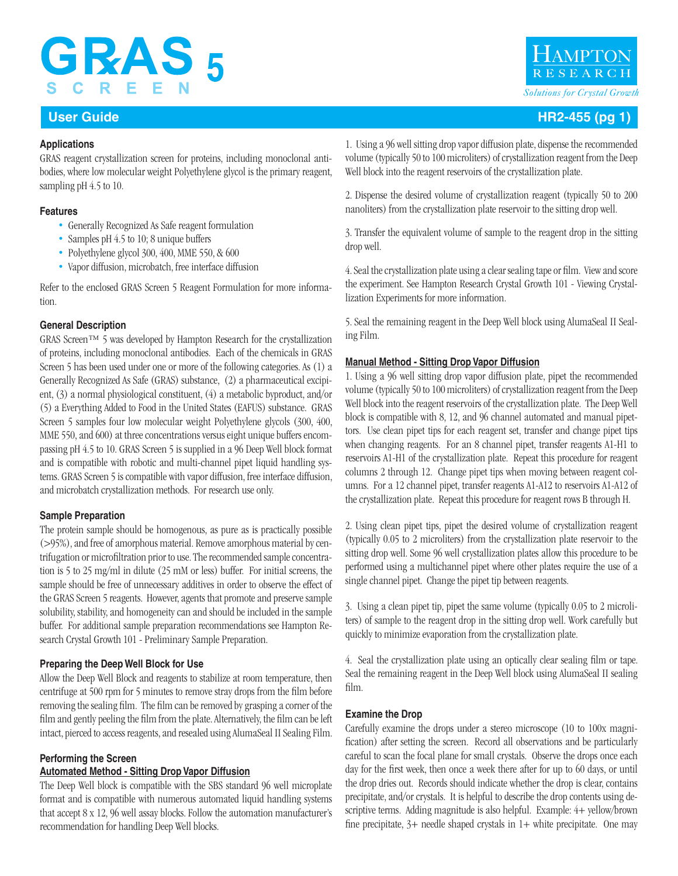# **GRAS5 SCREE**

## **Applications**

GRAS reagent crystallization screen for proteins, including monoclonal antibodies, where low molecular weight Polyethylene glycol is the primary reagent, sampling pH 4.5 to 10.

## **Features**

- Generally Recognized As Safe reagent formulation
- Samples pH 4.5 to 10; 8 unique buffers
- Polyethylene glycol 300, 400, MME 550, & 600
- Vapor diffusion, microbatch, free interface diffusion

Refer to the enclosed GRAS Screen 5 Reagent Formulation for more information.

## **General Description**

GRAS Screen™ 5 was developed by Hampton Research for the crystallization of proteins, including monoclonal antibodies. Each of the chemicals in GRAS Screen 5 has been used under one or more of the following categories. As (1) a Generally Recognized As Safe (GRAS) substance, (2) a pharmaceutical excipient, (3) a normal physiological constituent, (4) a metabolic byproduct, and/or (5) a Everything Added to Food in the United States (EAFUS) substance. GRAS Screen 5 samples four low molecular weight Polyethylene glycols (300, 400, MME 550, and 600) at three concentrations versus eight unique buffers encompassing pH 4.5 to 10. GRAS Screen 5 is supplied in a 96 Deep Well block format and is compatible with robotic and multi-channel pipet liquid handling systems. GRAS Screen 5 is compatible with vapor diffusion, free interface diffusion, and microbatch crystallization methods. For research use only.

## **Sample Preparation**

The protein sample should be homogenous, as pure as is practically possible (>95%), and free of amorphous material. Remove amorphous material by centrifugation or microfiltration prior to use. The recommended sample concentration is 5 to 25 mg/ml in dilute (25 mM or less) buffer. For initial screens, the sample should be free of unnecessary additives in order to observe the effect of the GRAS Screen 5 reagents. However, agents that promote and preserve sample solubility, stability, and homogeneity can and should be included in the sample buffer. For additional sample preparation recommendations see Hampton Research Crystal Growth 101 - Preliminary Sample Preparation.

## **Preparing the Deep Well Block for Use**

Allow the Deep Well Block and reagents to stabilize at room temperature, then centrifuge at 500 rpm for 5 minutes to remove stray drops from the film before removing the sealing film. The film can be removed by grasping a corner of the film and gently peeling the film from the plate. Alternatively, the film can be left intact, pierced to access reagents, and resealed using AlumaSeal II Sealing Film.

## **Performing the Screen**

## **Automated Method - Sitting Drop Vapor Diffusion**

The Deep Well block is compatible with the SBS standard 96 well microplate format and is compatible with numerous automated liquid handling systems that accept 8 x 12, 96 well assay blocks. Follow the automation manufacturer's recommendation for handling Deep Well blocks.

1. Using a 96 well sitting drop vapor diffusion plate, dispense the recommended volume (typically 50 to 100 microliters) of crystallization reagent from the Deep Well block into the reagent reservoirs of the crystallization plate.

2. Dispense the desired volume of crystallization reagent (typically 50 to 200 nanoliters) from the crystallization plate reservoir to the sitting drop well.

3. Transfer the equivalent volume of sample to the reagent drop in the sitting drop well.

4. Seal the crystallization plate using a clear sealing tape or film. View and score the experiment. See Hampton Research Crystal Growth 101 - Viewing Crystallization Experiments for more information.

5. Seal the remaining reagent in the Deep Well block using AlumaSeal II Sealing Film.

## **Manual Method - Sitting Drop Vapor Diffusion**

1. Using a 96 well sitting drop vapor diffusion plate, pipet the recommended volume (typically 50 to 100 microliters) of crystallization reagent from the Deep Well block into the reagent reservoirs of the crystallization plate. The Deep Well block is compatible with 8, 12, and 96 channel automated and manual pipettors. Use clean pipet tips for each reagent set, transfer and change pipet tips when changing reagents. For an 8 channel pipet, transfer reagents A1-H1 to reservoirs A1-H1 of the crystallization plate. Repeat this procedure for reagent columns 2 through 12. Change pipet tips when moving between reagent columns. For a 12 channel pipet, transfer reagents A1-A12 to reservoirs A1-A12 of the crystallization plate. Repeat this procedure for reagent rows B through H.

2. Using clean pipet tips, pipet the desired volume of crystallization reagent (typically 0.05 to 2 microliters) from the crystallization plate reservoir to the sitting drop well. Some 96 well crystallization plates allow this procedure to be performed using a multichannel pipet where other plates require the use of a single channel pipet. Change the pipet tip between reagents.

3. Using a clean pipet tip, pipet the same volume (typically 0.05 to 2 microliters) of sample to the reagent drop in the sitting drop well. Work carefully but quickly to minimize evaporation from the crystallization plate.

4. Seal the crystallization plate using an optically clear sealing film or tape. Seal the remaining reagent in the Deep Well block using AlumaSeal II sealing film.

## **Examine the Drop**

Carefully examine the drops under a stereo microscope (10 to 100x magnification) after setting the screen. Record all observations and be particularly careful to scan the focal plane for small crystals. Observe the drops once each day for the first week, then once a week there after for up to 60 days, or until the drop dries out. Records should indicate whether the drop is clear, contains precipitate, and/or crystals. It is helpful to describe the drop contents using descriptive terms. Adding magnitude is also helpful. Example: 4+ yellow/brown fine precipitate,  $3+$  needle shaped crystals in  $1+$  white precipitate. One may



## **User Guide HR2-455 (pg 1)**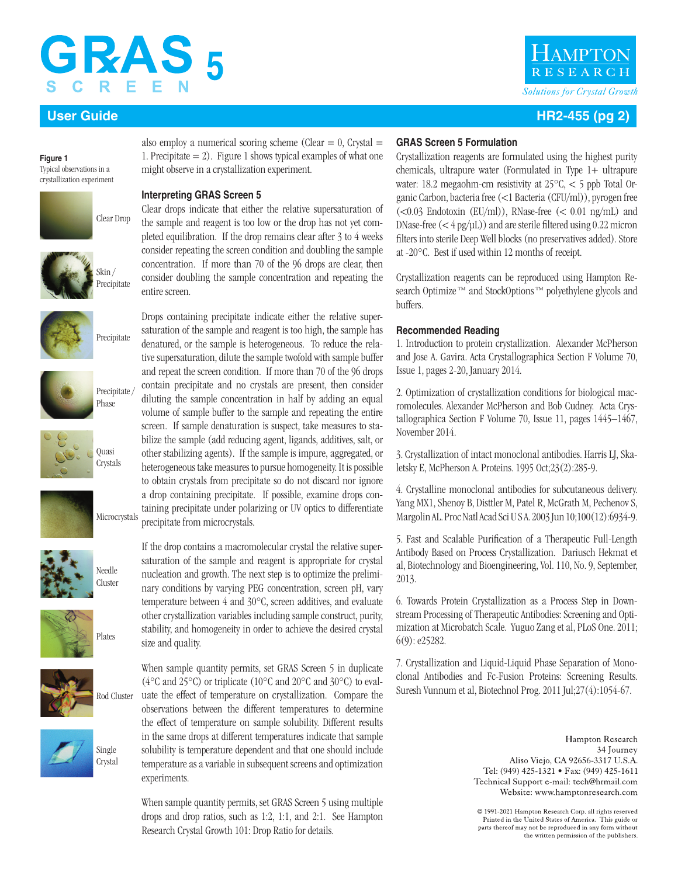## GRAS 5 C R E Е.

**Figure 1** Typical observations in a crystallization experiment





Precipitate

















also employ a numerical scoring scheme (Clear  $= 0$ , Crystal  $=$ 1. Precipitate  $= 2$ ). Figure 1 shows typical examples of what one might observe in a crystallization experiment.

## **Interpreting GRAS Screen 5**

Clear drops indicate that either the relative supersaturation of the sample and reagent is too low or the drop has not yet completed equilibration. If the drop remains clear after 3 to 4 weeks consider repeating the screen condition and doubling the sample concentration. If more than 70 of the 96 drops are clear, then consider doubling the sample concentration and repeating the entire screen.

Drops containing precipitate indicate either the relative supersaturation of the sample and reagent is too high, the sample has denatured, or the sample is heterogeneous. To reduce the relative supersaturation, dilute the sample twofold with sample buffer and repeat the screen condition. If more than 70 of the 96 drops contain precipitate and no crystals are present, then consider diluting the sample concentration in half by adding an equal volume of sample buffer to the sample and repeating the entire screen. If sample denaturation is suspect, take measures to stabilize the sample (add reducing agent, ligands, additives, salt, or other stabilizing agents). If the sample is impure, aggregated, or heterogeneous take measures to pursue homogeneity. It is possible to obtain crystals from precipitate so do not discard nor ignore a drop containing precipitate. If possible, examine drops containing precipitate under polarizing or UV optics to differentiate precipitate from microcrystals.

If the drop contains a macromolecular crystal the relative supersaturation of the sample and reagent is appropriate for crystal nucleation and growth. The next step is to optimize the preliminary conditions by varying PEG concentration, screen pH, vary temperature between 4 and 30°C, screen additives, and evaluate other crystallization variables including sample construct, purity, stability, and homogeneity in order to achieve the desired crystal size and quality.

When sample quantity permits, set GRAS Screen 5 in duplicate (4°C and 25°C) or triplicate (10°C and 20°C and 30°C) to evaluate the effect of temperature on crystallization. Compare the observations between the different temperatures to determine the effect of temperature on sample solubility. Different results in the same drops at different temperatures indicate that sample solubility is temperature dependent and that one should include temperature as a variable in subsequent screens and optimization experiments.

When sample quantity permits, set GRAS Screen 5 using multiple drops and drop ratios, such as 1:2, 1:1, and 2:1. See Hampton Research Crystal Growth 101: Drop Ratio for details.

# **AMPTO** *Solutions for Crystal Growth*

## **User Guide HR2-455 (pg 2)**

### **GRAS Screen 5 Formulation**

Crystallization reagents are formulated using the highest purity chemicals, ultrapure water (Formulated in Type 1+ ultrapure water: 18.2 megaohm-cm resistivity at 25°C, < 5 ppb Total Organic Carbon, bacteria free (<1 Bacteria (CFU/ml)), pyrogen free  $(<0.03$  Endotoxin (EU/ml)), RNase-free  $(<0.01$  ng/mL) and DNase-free  $(<$  4 pg/ $\mu$ L)) and are sterile filtered using 0.22 micron filters into sterile Deep Well blocks (no preservatives added). Store at -20°C. Best if used within 12 months of receipt.

Crystallization reagents can be reproduced using Hampton Research Optimize<sup>™</sup> and StockOptions<sup>™</sup> polyethylene glycols and buffers.

## **Recommended Reading**

1. Introduction to protein crystallization. Alexander McPherson and Jose A. Gavira. Acta Crystallographica Section F Volume 70, Issue 1, pages 2-20, January 2014.

2. Optimization of crystallization conditions for biological macromolecules. Alexander McPherson and Bob Cudney. Acta Crystallographica Section F Volume 70, Issue 11, pages 1445–1467, November 2014.

3. Crystallization of intact monoclonal antibodies. Harris LJ, Skaletsky E, McPherson A. Proteins. 1995 Oct;23(2):285-9.

4. Crystalline monoclonal antibodies for subcutaneous delivery. Yang MX1, Shenoy B, Disttler M, Patel R, McGrath M, Pechenov S, Margolin AL. Proc Natl Acad Sci U S A. 2003 Jun 10;100(12):6934-9.

5. Fast and Scalable Purification of a Therapeutic Full-Length Antibody Based on Process Crystallization. Dariusch Hekmat et al, Biotechnology and Bioengineering, Vol. 110, No. 9, September, 2013.

6. Towards Protein Crystallization as a Process Step in Downstream Processing of Therapeutic Antibodies: Screening and Optimization at Microbatch Scale. Yuguo Zang et al, PLoS One. 2011; 6(9): e25282.

7. Crystallization and Liquid-Liquid Phase Separation of Monoclonal Antibodies and Fc-Fusion Proteins: Screening Results. Suresh Vunnum et al, Biotechnol Prog. 2011 Jul;27(4):1054-67.

> Hampton Research 34 Journey Aliso Viejo, CA 92656-3317 U.S.A. Tel: (949) 425-1321 • Fax: (949) 425-1611 Technical Support e-mail: tech@hrmail.com Website: www.hamptonresearch.com

© 1991-2021 Hampton Research Corp. all rights reserved Printed in the United States of America. This guide or parts thereof may not be reproduced in any form without the written permission of the publishers.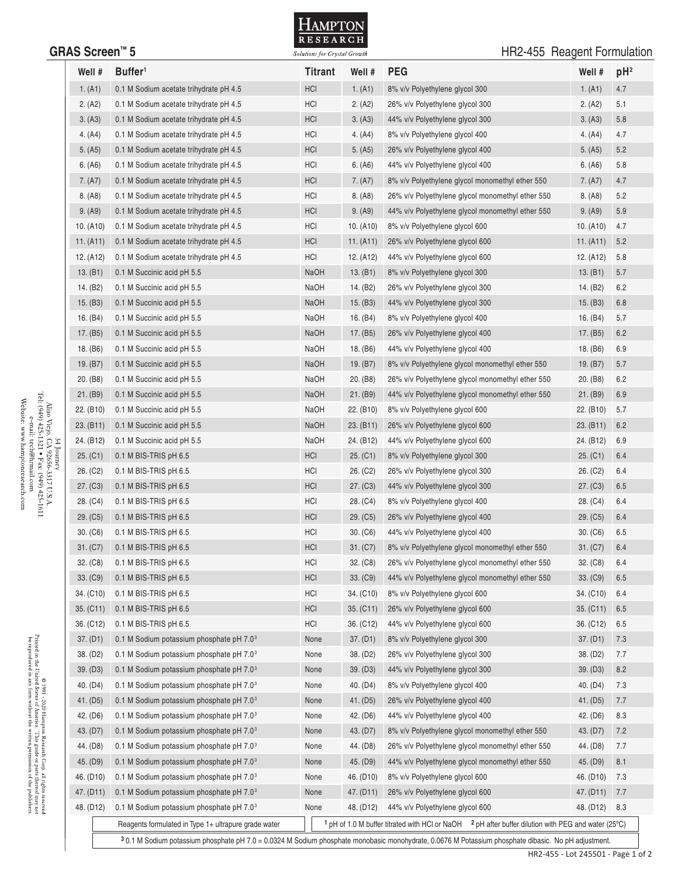

## GRAS Screen<sup>™</sup> 5 **GRAS Screen ™ 5** *Solutions for Crystal Growth* HR2-455 Reagent Formulation

| Well #<br>Buffer <sup>1</sup><br><b>Titrant</b><br>Well #<br><b>PEG</b>                                                                  | Well #<br>$pH^2$                                                |
|------------------------------------------------------------------------------------------------------------------------------------------|-----------------------------------------------------------------|
| <b>HCI</b><br>1. (A1)<br>1. (A1)<br>0.1 M Sodium acetate trihydrate pH 4.5<br>8% v/v Polyethylene glycol 300                             | 1. (A1)<br>4.7                                                  |
| 2. (A2)<br>HCI<br>2. (A2)<br>0.1 M Sodium acetate trihydrate pH 4.5<br>26% v/v Polyethylene glycol 300                                   | 2. (A2)<br>5.1                                                  |
| <b>HCI</b><br>3. (A3)<br>0.1 M Sodium acetate trihydrate pH 4.5<br>3. (A3)<br>44% v/v Polyethylene glycol 300                            | 5.8<br>3. (A3)                                                  |
| 4. (A4)<br>0.1 M Sodium acetate trihydrate pH 4.5<br>HCI<br>4. $(A4)$<br>8% v/v Polyethylene glycol 400                                  | 4.7<br>4. (A4)                                                  |
| <b>HCI</b><br>5. (A5)<br>0.1 M Sodium acetate trihydrate pH 4.5<br>5. (A5)<br>26% v/v Polyethylene glycol 400                            | 5. (A5)<br>5.2                                                  |
| HCI<br>6. (A6)<br>0.1 M Sodium acetate trihydrate pH 4.5<br>6. (A6)<br>44% v/v Polyethylene glycol 400                                   | 6. (A6)<br>5.8                                                  |
| <b>HCI</b><br>7. (A7)<br>0.1 M Sodium acetate trihydrate pH 4.5<br>7. (A7)<br>8% v/v Polyethylene glycol monomethyl ether 550            | 7. (A7)<br>4.7                                                  |
| 0.1 M Sodium acetate trihydrate pH 4.5<br>HCI<br>8. (A8)<br>8. (A8)<br>26% v/v Polyethylene glycol monomethyl ether 550                  | 5.2<br>8. (A8)                                                  |
| 9. (A9)<br><b>HCI</b><br>0.1 M Sodium acetate trihydrate pH 4.5<br>9. (A9)<br>44% v/v Polyethylene glycol monomethyl ether 550           | 5.9<br>9. (A9)                                                  |
| 10. (A10)<br>HCI<br>0.1 M Sodium acetate trihydrate pH 4.5<br>10. (A10)<br>8% v/v Polyethylene glycol 600                                | 4.7<br>10. (A10)                                                |
| 11. (A11)<br><b>HCI</b><br>11. (A11)<br>0.1 M Sodium acetate trihydrate pH 4.5<br>26% v/v Polyethylene glycol 600                        | 11. (A11)<br>5.2                                                |
| 12. (A12)<br>0.1 M Sodium acetate trihydrate pH 4.5<br>HCI<br>12. (A12)<br>44% v/v Polyethylene glycol 600                               | 12. (A12)<br>5.8                                                |
| 13. (B1)<br><b>NaOH</b><br>0.1 M Succinic acid pH 5.5<br>13. $(B1)$<br>8% v/v Polyethylene glycol 300                                    | 13. (B1)<br>5.7                                                 |
| 14. (B2)<br>NaOH<br>14. (B2)<br>0.1 M Succinic acid pH 5.5<br>26% v/v Polyethylene glycol 300                                            | 14. (B2)<br>6.2                                                 |
| <b>NaOH</b><br>15. (B3)<br>15. (B3)<br>0.1 M Succinic acid pH 5.5<br>44% v/v Polyethylene glycol 300                                     | 15. (B3)<br>6.8                                                 |
| 16. $(B4)$<br>0.1 M Succinic acid pH 5.5<br>NaOH<br>16. $(B4)$<br>8% v/v Polyethylene glycol 400                                         | 16. (B4)<br>5.7                                                 |
| 17. (B5)<br>0.1 M Succinic acid pH 5.5<br><b>NaOH</b><br>17. (B5)<br>26% v/v Polyethylene glycol 400                                     | 6.2<br>17. (B5)                                                 |
| NaOH<br>18. (B6)<br>0.1 M Succinic acid pH 5.5<br>18. (B6)<br>44% v/v Polyethylene glycol 400                                            | 6.9<br>18. (B6)                                                 |
| NaOH<br>19. (B7)<br>19. (B7)<br>0.1 M Succinic acid pH 5.5<br>8% v/v Polyethylene glycol monomethyl ether 550                            | 19. (B7)<br>5.7                                                 |
| NaOH<br>20. (B8)<br>0.1 M Succinic acid pH 5.5<br>20. (B8)<br>26% v/v Polyethylene glycol monomethyl ether 550                           | 20. (B8)<br>6.2                                                 |
| 21. (B9)<br><b>NaOH</b><br>21. (B9)<br>0.1 M Succinic acid pH 5.5<br>44% v/v Polyethylene glycol monomethyl ether 550                    | 6.9<br>21. (B9)                                                 |
| 22. (B10)<br>0.1 M Succinic acid pH 5.5<br>NaOH<br>22. (B10)<br>8% v/v Polyethylene glycol 600                                           | 22. (B10)<br>5.7                                                |
| 23. (B11)<br><b>NaOH</b><br>0.1 M Succinic acid pH 5.5<br>23. (B11)<br>26% v/v Polyethylene glycol 600                                   | 23. (B11)<br>6.2                                                |
| 24. (B12)<br>NaOH<br>24. (B12)<br>0.1 M Succinic acid pH 5.5<br>44% v/v Polyethylene glycol 600                                          | 24. (B12)<br>6.9                                                |
| 25. (C1)<br><b>HCI</b><br>25. (C1)<br>0.1 M BIS-TRIS pH 6.5<br>8% v/v Polyethylene glycol 300                                            | 25. (C1)<br>6.4                                                 |
| 26. (C2)<br>HCI<br>26. (C2)<br>$0.1$ M BIS-TRIS pH 6.5<br>26% v/v Polyethylene glycol 300                                                | 26. (C2)<br>6.4                                                 |
| HCI<br>27. (C3)<br>0.1 M BIS-TRIS pH 6.5<br>27. (C3)<br>44% v/v Polyethylene glycol 300                                                  | 6.5<br>27. (C3)                                                 |
| 28. (C4)<br>HCI<br>28. (C4)<br>0.1 M BIS-TRIS pH 6.5<br>8% v/v Polyethylene glycol 400                                                   | 28. (C4)<br>6.4                                                 |
| HCI<br>29. (C5)<br>29. (C5)<br>26% v/v Polyethylene glycol 400<br>0.1 M BIS-TRIS pH 6.5                                                  | 29. (C5)<br>6.4                                                 |
| 30. (C6)<br>HCI<br>30. (C6)<br>$0.1$ M BIS-TRIS pH 6.5<br>44% v/v Polyethylene glycol 400                                                | 30. (C6)<br>6.5                                                 |
| <b>HCI</b><br>31. (C7)<br>0.1 M BIS-TRIS pH 6.5<br>31. (C7)<br>8% v/v Polyethylene glycol monomethyl ether 550                           | 31. (C7)<br>6.4                                                 |
| HCI<br>32. (C8)<br>0.1 M BIS-TRIS pH 6.5<br>32. (C8)<br>26% v/v Polyethylene glycol monomethyl ether 550                                 | 32. (C8)<br>6.4                                                 |
| 33. (C9)<br>0.1 M BIS-TRIS pH 6.5<br><b>HCI</b><br>33. (C9)<br>44% v/v Polyethylene glycol monomethyl ether 550                          | 33. (C9)<br>6.5                                                 |
| 34. (C10)<br>0.1 M BIS-TRIS pH 6.5<br>HCI<br>34. (C10)<br>8% v/v Polyethylene glycol 600                                                 | 34. (C10)<br>6.4                                                |
| 35. (C11)<br>0.1 M BIS-TRIS pH 6.5<br><b>HCI</b><br>35. (C11)<br>26% v/v Polyethylene glycol 600                                         | 35. (C11)<br>6.5                                                |
| 36. (C12)<br>0.1 M BIS-TRIS pH 6.5<br>HCI<br>36. (C12)<br>44% v/v Polyethylene glycol 600                                                | 36. (C12)<br>6.5                                                |
| 37. (D1)<br>37. (D1)<br>0.1 M Sodium potassium phosphate pH 7.0 <sup>3</sup><br>None<br>8% v/v Polyethylene glycol 300                   | 37. (D1)<br>7.3                                                 |
| 38. (D2)<br>0.1 M Sodium potassium phosphate pH 7.0 <sup>3</sup><br>38. (D2)<br>26% v/v Polyethylene glycol 300<br>None                  | 38. (D <sub>2</sub> )<br>7.7                                    |
| 39. (D3)<br>0.1 M Sodium potassium phosphate pH 7.0 <sup>3</sup><br>39. (D3)<br>44% v/v Polyethylene glycol 300<br>None                  | 39. (D3)<br>8.2                                                 |
| 40. (D4)<br>0.1 M Sodium potassium phosphate pH 7.0 <sup>3</sup><br>40. (D4)<br>8% v/v Polyethylene glycol 400<br>None                   | 40. (D4)<br>7.3                                                 |
| 41. (D5)<br>0.1 M Sodium potassium phosphate pH 7.0 <sup>3</sup><br>41. (D5)<br>26% v/v Polyethylene glycol 400<br>None                  | 41. (D5)<br>7.7                                                 |
| 42. (D6)<br>0.1 M Sodium potassium phosphate pH 7.0 <sup>3</sup><br>42. (D6)<br>44% v/v Polyethylene glycol 400<br>None                  | 42. (D6)<br>8.3                                                 |
| 43. (D7)<br>0.1 M Sodium potassium phosphate pH 7.0 <sup>3</sup><br>None<br>43. (D7)<br>8% v/v Polyethylene glycol monomethyl ether 550  | 43. (D7)<br>7.2                                                 |
| 44. (D8)<br>0.1 M Sodium potassium phosphate pH 7.0 <sup>3</sup><br>44. (D8)<br>26% v/v Polyethylene glycol monomethyl ether 550<br>None | 44. (D8)<br>7.7                                                 |
| 45. (D9)<br>0.1 M Sodium potassium phosphate pH 7.0 <sup>3</sup><br>45. (D9)<br>44% v/v Polyethylene glycol monomethyl ether 550<br>None | 45. (D9)<br>8.1                                                 |
| 46. (D10)<br>0.1 M Sodium potassium phosphate pH 7.03<br>8% v/v Polyethylene glycol 600<br>46. (D <sub>10</sub> )<br>None                | 46. (D10)<br>7.3                                                |
| 47. (D11)<br>0.1 M Sodium potassium phosphate pH 7.0 <sup>3</sup><br>47. (D11)<br>26% v/v Polyethylene glycol 600<br>None                | 47. (D11)<br>7.7                                                |
| 48. (D12)<br>0.1 M Sodium potassium phosphate pH 7.0 <sup>3</sup><br>48. (D12)<br>44% v/v Polyethylene glycol 600<br>None                | 48. (D12)<br>8.3                                                |
| <sup>1</sup> pH of 1.0 M buffer titrated with HCI or NaOH<br>Reagents formulated in Type 1+ ultrapure grade water                        | <sup>2</sup> pH after buffer dilution with PEG and water (25°C) |
|                                                                                                                                          |                                                                 |

HR2-455 - Lot 245501 - Page 1 of 2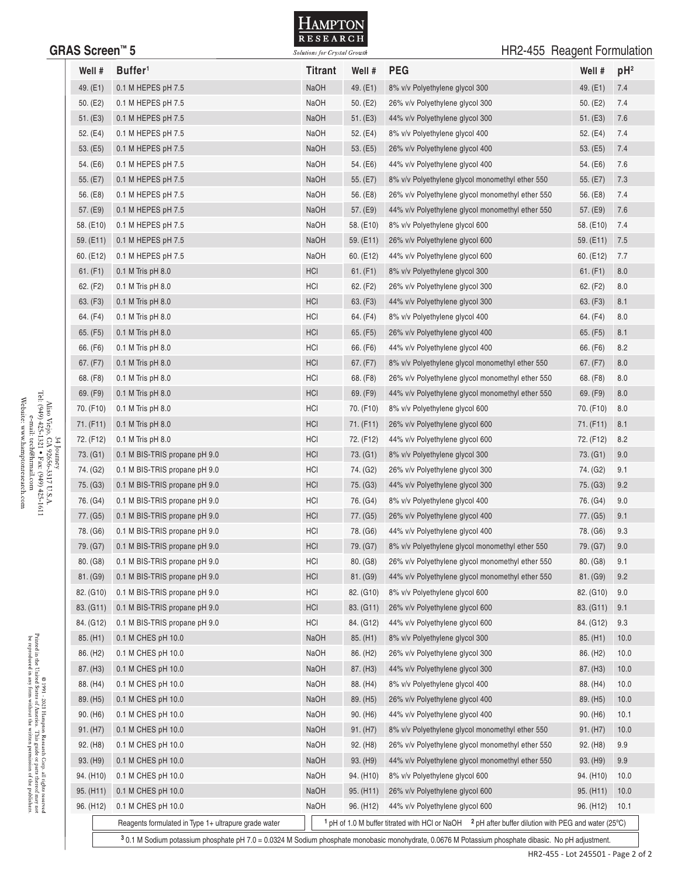

## GRAS Screen<sup>™</sup> 5 **GRAS Screen** 5 **GRAS** Screen **Formulation** Solutions for Crystal Growth

| Well #                | Buffer <sup>1</sup>                                  | <b>Titrant</b> | Well #                | <b>PEG</b>                                                                                                                                          | Well #                 | $pH^2$ |
|-----------------------|------------------------------------------------------|----------------|-----------------------|-----------------------------------------------------------------------------------------------------------------------------------------------------|------------------------|--------|
| 49. (E1)              | 0.1 M HEPES pH 7.5                                   | <b>NaOH</b>    | 49. (E1)              | 8% v/v Polyethylene glycol 300                                                                                                                      | 49. (E1)               | 7.4    |
| 50. $(E2)$            | 0.1 M HEPES pH 7.5                                   | NaOH           | 50. $(E2)$            | 26% v/v Polyethylene glycol 300                                                                                                                     | 50. (E2)               | 7.4    |
| 51. (E3)              | 0.1 M HEPES pH 7.5                                   | <b>NaOH</b>    | 51. (E3)              | 44% v/v Polyethylene glycol 300                                                                                                                     | 51. (E3)               | 7.6    |
| 52. (E4)              | 0.1 M HEPES pH 7.5                                   | <b>NaOH</b>    | 52. (E4)              | 8% v/v Polyethylene glycol 400                                                                                                                      | 52. (E4)               | 7.4    |
| 53. (E5)              | 0.1 M HEPES pH 7.5                                   | <b>NaOH</b>    | 53. (E5)              | 26% v/v Polyethylene glycol 400                                                                                                                     | 53. (E5)               | 7.4    |
| 54. (E6)              | 0.1 M HEPES pH 7.5                                   | NaOH           | 54. (E6)              | 44% v/v Polyethylene glycol 400                                                                                                                     | 54. (E6)               | 7.6    |
| 55. (E7)              | 0.1 M HEPES pH 7.5                                   | <b>NaOH</b>    | 55. $(E7)$            | 8% v/v Polyethylene glycol monomethyl ether 550                                                                                                     | 55. (E7)               | 7.3    |
| 56. (E8)              | 0.1 M HEPES pH 7.5                                   | <b>NaOH</b>    | 56. (E8)              | 26% v/v Polyethylene glycol monomethyl ether 550                                                                                                    | 56. (E8)               | 7.4    |
| 57. (E9)              | 0.1 M HEPES pH 7.5                                   | <b>NaOH</b>    | 57. (E9)              | 44% v/v Polyethylene glycol monomethyl ether 550                                                                                                    | 57. (E9)               | 7.6    |
| 58. (E10)             | 0.1 M HEPES pH 7.5                                   | NaOH           | 58. (E10)             | 8% v/v Polyethylene glycol 600                                                                                                                      | 58. (E10)              | 7.4    |
| 59. (E11)             | 0.1 M HEPES pH 7.5                                   | <b>NaOH</b>    | 59. (E11)             | 26% v/v Polyethylene glycol 600                                                                                                                     | 59. (E11)              | 7.5    |
| 60. (E12)             | 0.1 M HEPES pH 7.5                                   | NaOH           | 60. (E12)             | 44% v/v Polyethylene glycol 600                                                                                                                     | 60. (E12)              | 7.7    |
| 61. (F1)              | $0.1$ M Tris pH $8.0$                                | <b>HCI</b>     | 61. (F1)              | 8% v/v Polyethylene glycol 300                                                                                                                      | 61. (F1)               | 8.0    |
| 62. (F2)              | $0.1$ M Tris pH $8.0$                                | HCI            | 62. (F2)              | 26% v/v Polyethylene glycol 300                                                                                                                     | 62. (F2)               | 8.0    |
| 63. (F3)              | $0.1$ M Tris pH $8.0$                                | HCI            | 63. (F3)              | 44% v/v Polyethylene glycol 300                                                                                                                     | 63. (F3)               | 8.1    |
| 64. (F4)              | $0.1$ M Tris pH $8.0$                                | HCI            | 64. (F4)              | 8% v/v Polyethylene glycol 400                                                                                                                      | 64. (F4)               | 8.0    |
| 65. (F5)              | $0.1$ M Tris pH $8.0$                                | HCI            | 65. (F5)              | 26% v/v Polyethylene glycol 400                                                                                                                     | 65. (F5)               | 8.1    |
| 66. (F6)              | $0.1$ M Tris pH $8.0$                                | HCI            | 66. (F6)              | 44% v/v Polyethylene glycol 400                                                                                                                     | 66. (F6)               | 8.2    |
| 67. (F7)              | $0.1$ M Tris pH $8.0$                                | <b>HCI</b>     | 67. (F7)              | 8% v/v Polyethylene glycol monomethyl ether 550                                                                                                     | 67. (F7)               | 8.0    |
| 68. (F8)              | $0.1$ M Tris pH $8.0$                                | HCI            | 68. (F8)              | 26% v/v Polyethylene glycol monomethyl ether 550                                                                                                    | 68. (F8)               | 8.0    |
| 69. (F9)              | $0.1$ M Tris pH $8.0$                                | HCI            | 69. (F9)              | 44% v/v Polyethylene glycol monomethyl ether 550                                                                                                    | 69. (F9)               | 8.0    |
| 70. (F10)             | $0.1$ M Tris pH $8.0$                                | HCI            | 70. (F10)             | 8% v/v Polyethylene glycol 600                                                                                                                      | 70. (F10)              | 8.0    |
| 71. (F11)             | $0.1$ M Tris pH $8.0$                                | HCI            | 71. (F11)             | 26% v/v Polyethylene glycol 600                                                                                                                     | 71. (F11)              | 8.1    |
| 72. (F12)             | $0.1$ M Tris pH $8.0$                                | HCI            | 72. (F12)             | 44% v/v Polyethylene glycol 600                                                                                                                     | 72. (F12)              | 8.2    |
| 73. (G1)              | 0.1 M BIS-TRIS propane pH 9.0                        | HCI            | 73. (G1)              | 8% v/v Polyethylene glycol 300                                                                                                                      | 73. (G1)               | 9.0    |
| 74. (G2)              | 0.1 M BIS-TRIS propane pH 9.0                        | HCI            | 74. (G2)              | 26% v/v Polyethylene glycol 300                                                                                                                     | 74. (G2)               | 9.1    |
| 75. (G3)              | 0.1 M BIS-TRIS propane pH 9.0                        | HCI            | 75. (G3)              | 44% v/v Polyethylene glycol 300                                                                                                                     | 75. (G3)               | 9.2    |
| 76. (G4)              | 0.1 M BIS-TRIS propane pH 9.0                        | HCI            | 76. (G4)              | 8% v/v Polyethylene glycol 400                                                                                                                      | 76. (G4)               | 9.0    |
| 77. (G5)              | 0.1 M BIS-TRIS propane pH 9.0                        | HCI            | 77. (G5)              | 26% v/v Polyethylene glycol 400                                                                                                                     | 77. (G5)               | 9.1    |
| 78. (G6)              | 0.1 M BIS-TRIS propane pH 9.0                        | HCI            | 78. (G6)              | 44% v/v Polyethylene glycol 400                                                                                                                     | 78. (G6)               | 9.3    |
| 79. (G7)              | 0.1 M BIS-TRIS propane pH 9.0                        | HCI            | 79. (G7)              | 8% v/v Polyethylene glycol monomethyl ether 550                                                                                                     | 79. (G7)               | 9.0    |
| 80. (G8)              | 0.1 M BIS-TRIS propane pH 9.0                        | HCI            | 80. (G8)              | 26% v/v Polyethylene glycol monomethyl ether 550                                                                                                    | 80. (G8)               | 9.1    |
| 81. (G9)              | 0.1 M BIS-TRIS propane pH 9.0                        | HCI            | 81. (G9)              | 44% v/v Polyethylene glycol monomethyl ether 550                                                                                                    | 81. (G9)               | 9.2    |
| 82. (G10)             | 0.1 M BIS-TRIS propane pH 9.0                        | HCI            | 82. (G10)             | 8% v/v Polyethylene glycol 600                                                                                                                      | 82. (G10)              | 9.0    |
| 83. (G11)             | 0.1 M BIS-TRIS propane pH 9.0                        | HCI            | 83. (G11)             | 26% v/v Polyethylene glycol 600                                                                                                                     | 83. (G11)              | 9.1    |
| 84. (G12)             | 0.1 M BIS-TRIS propane pH 9.0                        | HCI            | 84. (G12)             | 44% v/v Polyethylene glycol 600                                                                                                                     | 84. (G12)              | 9.3    |
| 85. (H1)              | 0.1 M CHES pH 10.0                                   | <b>NaOH</b>    | 85. (H1)              | 8% v/v Polyethylene glycol 300                                                                                                                      | 85. (H1)               | 10.0   |
| 86. (H <sub>2</sub> ) | 0.1 M CHES pH 10.0                                   | NaOH           | 86. (H <sub>2</sub> ) | 26% v/v Polyethylene glycol 300                                                                                                                     | 86. (H <sub>2</sub> )  | 10.0   |
| 87. (H3)              | 0.1 M CHES pH 10.0                                   | NaOH           | 87. (H3)              | 44% v/v Polyethylene glycol 300                                                                                                                     | 87. (H3)               | 10.0   |
| 88. (H4)              | 0.1 M CHES pH 10.0                                   | NaOH           | 88. (H4)              | 8% v/v Polyethylene glycol 400                                                                                                                      | 88. (H4)               | 10.0   |
| 89. (H5)              | 0.1 M CHES pH 10.0                                   | NaOH           | 89. (H5)              | 26% v/v Polyethylene glycol 400                                                                                                                     | 89. (H5)               | 10.0   |
| 90. (H6)              | 0.1 M CHES pH 10.0                                   | NaOH           | 90. (H6)              | 44% v/v Polyethylene glycol 400                                                                                                                     | 90. (H6)               | 10.1   |
| 91. (H7)              | 0.1 M CHES pH 10.0                                   | NaOH           | 91. (H7)              | 8% v/v Polyethylene glycol monomethyl ether 550                                                                                                     | 91. (H7)               | 10.0   |
| 92. (H8)              | 0.1 M CHES pH 10.0                                   | NaOH           | 92. (H <sub>8</sub> ) | 26% v/v Polyethylene glycol monomethyl ether 550                                                                                                    | 92. (H <sub>8</sub> )  | 9.9    |
| 93. (H9)              | 0.1 M CHES pH 10.0                                   | NaOH           | 93. (H9)              | 44% v/v Polyethylene glycol monomethyl ether 550                                                                                                    | 93. (H9)               | 9.9    |
| 94. (H10)             | 0.1 M CHES pH 10.0                                   | NaOH           | 94. (H10)             | 8% v/v Polyethylene glycol 600                                                                                                                      | 94. (H <sub>10</sub> ) | 10.0   |
| 95. (H11)             | 0.1 M CHES pH 10.0                                   | NaOH           | 95. (H11)             | 26% v/v Polyethylene glycol 600                                                                                                                     | 95. (H11)              | 10.0   |
| 96. (H12)             | 0.1 M CHES pH 10.0                                   | NaOH           | 96. (H12)             | 44% v/v Polyethylene glycol 600                                                                                                                     | 96. (H12)              | 10.1   |
|                       | Reagents formulated in Type 1+ ultrapure grade water |                |                       | <sup>1</sup> pH of 1.0 M buffer titrated with HCl or NaOH $\frac{2 \text{ pH}}{1 \text{ after}}$ buffer dilution with PEG and water (25°C)          |                        |        |
|                       |                                                      |                |                       | 30.1 M Sodium potassium phosphate pH 7.0 = 0.0324 M Sodium phosphate monobasic monohydrate, 0.0676 M Potassium phosphate dibasic. No pH adjustment. |                        |        |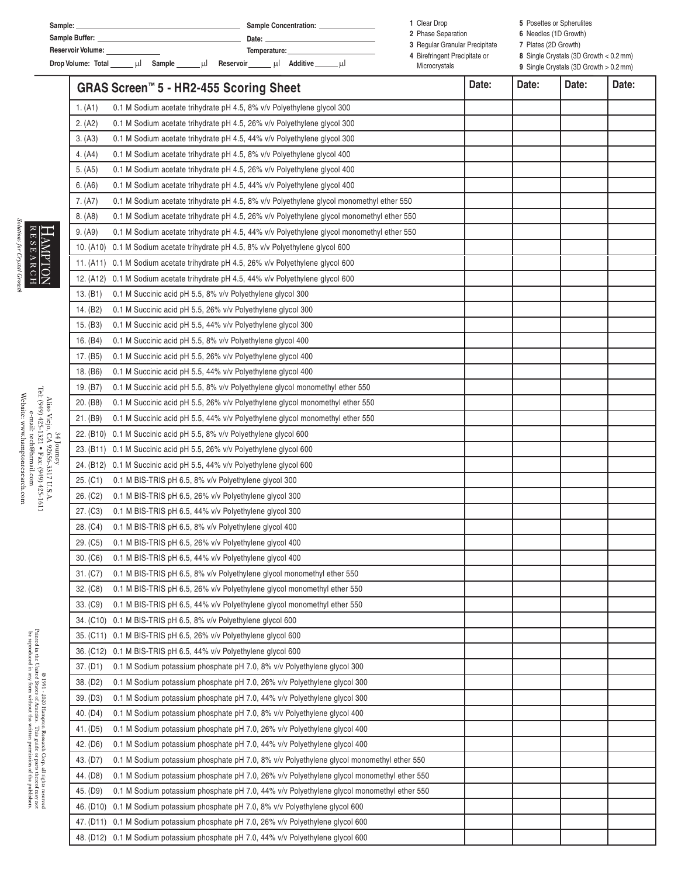| Sample:                      | <b>Sample Concentration:</b>     | Clear Drop                     | 5 Posettes or Spherulites                                |  |
|------------------------------|----------------------------------|--------------------------------|----------------------------------------------------------|--|
| Sample Buffer:               | Date:                            | 2 Phase Separation             | 6 Needles (1D Growth)                                    |  |
| <b>Reservoir Volume:</b>     | Temperature:                     | 3 Regular Granular Precipitate | Plates (2D Growth)                                       |  |
|                              | Additive<br>Reservoir<br>шI<br>ш | 4 Birefringent Precipitate or  | 8 Single Crystals $(3D \text{ Growth} < 0.2 \text{ mm})$ |  |
| Drop Volume: Total<br>Sample |                                  | Microcrystals                  | 9 Single Crystals (3D Growth > 0.2 mm)                   |  |

|            | GRAS Screen™ 5 - HR2-455 Scoring Sheet                                                    | Date: | Date: | Date: | Date: |
|------------|-------------------------------------------------------------------------------------------|-------|-------|-------|-------|
| 1. (A1)    | 0.1 M Sodium acetate trihydrate pH 4.5, 8% v/v Polyethylene glycol 300                    |       |       |       |       |
| 2. (A2)    | 0.1 M Sodium acetate trihydrate pH 4.5, 26% v/v Polyethylene glycol 300                   |       |       |       |       |
| 3. (A3)    | 0.1 M Sodium acetate trihydrate pH 4.5, 44% v/v Polyethylene glycol 300                   |       |       |       |       |
| 4. (A4)    | 0.1 M Sodium acetate trihydrate pH 4.5, 8% v/v Polyethylene glycol 400                    |       |       |       |       |
| 5. (A5)    | 0.1 M Sodium acetate trihydrate pH 4.5, 26% v/v Polyethylene glycol 400                   |       |       |       |       |
| 6. (A6)    | 0.1 M Sodium acetate trihydrate pH 4.5, 44% v/v Polyethylene glycol 400                   |       |       |       |       |
| 7. (A7)    | 0.1 M Sodium acetate trihydrate pH 4.5, 8% v/v Polyethylene glycol monomethyl ether 550   |       |       |       |       |
| 8. (A8)    | 0.1 M Sodium acetate trihydrate pH 4.5, 26% v/v Polyethylene glycol monomethyl ether 550  |       |       |       |       |
| 9. (A9)    | 0.1 M Sodium acetate trihydrate pH 4.5, 44% v/v Polyethylene glycol monomethyl ether 550  |       |       |       |       |
|            | 10. (A10) 0.1 M Sodium acetate trihydrate pH 4.5, 8% v/v Polyethylene glycol 600          |       |       |       |       |
|            | 11. (A11) 0.1 M Sodium acetate trihydrate pH 4.5, 26% v/v Polyethylene glycol 600         |       |       |       |       |
|            | 12. (A12) 0.1 M Sodium acetate trihydrate pH 4.5, 44% v/v Polyethylene glycol 600         |       |       |       |       |
| 13. (B1)   | 0.1 M Succinic acid pH 5.5, 8% v/v Polyethylene glycol 300                                |       |       |       |       |
| 14. (B2)   | 0.1 M Succinic acid pH 5.5, 26% v/v Polyethylene glycol 300                               |       |       |       |       |
| 15. (B3)   | 0.1 M Succinic acid pH 5.5, 44% v/v Polyethylene glycol 300                               |       |       |       |       |
| 16. (B4)   | 0.1 M Succinic acid pH 5.5, 8% v/v Polyethylene glycol 400                                |       |       |       |       |
| 17. (B5)   | 0.1 M Succinic acid pH 5.5, 26% v/v Polyethylene glycol 400                               |       |       |       |       |
| 18. (B6)   | 0.1 M Succinic acid pH 5.5, 44% v/v Polyethylene glycol 400                               |       |       |       |       |
| 19. (B7)   | 0.1 M Succinic acid pH 5.5, 8% v/v Polyethylene glycol monomethyl ether 550               |       |       |       |       |
| 20. (B8)   | 0.1 M Succinic acid pH 5.5, 26% v/v Polyethylene glycol monomethyl ether 550              |       |       |       |       |
| 21. (B9)   | 0.1 M Succinic acid pH 5.5, 44% v/v Polyethylene glycol monomethyl ether 550              |       |       |       |       |
|            | 22. (B10) 0.1 M Succinic acid pH 5.5, 8% v/v Polyethylene glycol 600                      |       |       |       |       |
| 34 Journey | 23. (B11) 0.1 M Succinic acid pH 5.5, 26% v/v Polyethylene glycol 600                     |       |       |       |       |
|            | 24. (B12) 0.1 M Succinic acid pH 5.5, 44% v/v Polyethylene glycol 600                     |       |       |       |       |
| 25. (C1)   | 0.1 M BIS-TRIS pH 6.5, 8% v/v Polyethylene glycol 300                                     |       |       |       |       |
| 26. (C2)   | 0.1 M BIS-TRIS pH 6.5, 26% v/v Polyethylene glycol 300                                    |       |       |       |       |
| 27. (C3)   | 0.1 M BIS-TRIS pH 6.5, 44% v/v Polyethylene glycol 300                                    |       |       |       |       |
| 28. (C4)   | 0.1 M BIS-TRIS pH 6.5, 8% v/v Polyethylene glycol 400                                     |       |       |       |       |
| 29. (C5)   | 0.1 M BIS-TRIS pH 6.5, 26% v/v Polyethylene glycol 400                                    |       |       |       |       |
| 30. (C6)   | 0.1 M BIS-TRIS pH 6.5, 44% v/v Polyethylene glycol 400                                    |       |       |       |       |
|            | 31. (C7) 0.1 M BIS-TRIS pH 6.5, 8% v/v Polyethylene glycol monomethyl ether 550           |       |       |       |       |
| 32. (C8)   | 0.1 M BIS-TRIS pH 6.5, 26% v/v Polyethylene glycol monomethyl ether 550                   |       |       |       |       |
| 33. (C9)   | 0.1 M BIS-TRIS pH 6.5, 44% v/v Polyethylene glycol monomethyl ether 550                   |       |       |       |       |
|            | 34. (C10) 0.1 M BIS-TRIS pH 6.5, 8% v/v Polyethylene glycol 600                           |       |       |       |       |
|            | 35. (C11) 0.1 M BIS-TRIS pH 6.5, 26% v/v Polyethylene glycol 600                          |       |       |       |       |
|            | 36. (C12) 0.1 M BIS-TRIS pH 6.5, 44% v/v Polyethylene glycol 600                          |       |       |       |       |
| 37. (D1)   | 0.1 M Sodium potassium phosphate pH 7.0, 8% v/v Polyethylene glycol 300                   |       |       |       |       |
| 38. (D2)   | 0.1 M Sodium potassium phosphate pH 7.0, 26% v/v Polyethylene glycol 300                  |       |       |       |       |
| 39. (D3)   | 0.1 M Sodium potassium phosphate pH 7.0, 44% v/v Polyethylene glycol 300                  |       |       |       |       |
| 40. (D4)   | 0.1 M Sodium potassium phosphate pH 7.0, 8% v/v Polyethylene glycol 400                   |       |       |       |       |
| 41. (D5)   | 0.1 M Sodium potassium phosphate pH 7.0, 26% v/v Polyethylene glycol 400                  |       |       |       |       |
| 42. (D6)   | 0.1 M Sodium potassium phosphate pH 7.0, 44% v/v Polyethylene glycol 400                  |       |       |       |       |
| 43. (D7)   | 0.1 M Sodium potassium phosphate pH 7.0, 8% v/v Polyethylene glycol monomethyl ether 550  |       |       |       |       |
| 44. (D8)   | 0.1 M Sodium potassium phosphate pH 7.0, 26% v/v Polyethylene glycol monomethyl ether 550 |       |       |       |       |
| 45. (D9)   | 0.1 M Sodium potassium phosphate pH 7.0, 44% v/v Polyethylene glycol monomethyl ether 550 |       |       |       |       |
|            | 46. (D10) 0.1 M Sodium potassium phosphate pH 7.0, 8% v/v Polyethylene glycol 600         |       |       |       |       |
|            | 47. (D11) 0.1 M Sodium potassium phosphate pH 7.0, 26% v/v Polyethylene glycol 600        |       |       |       |       |
|            | 48. (D12) 0.1 M Sodium potassium phosphate pH 7.0, 44% v/v Polyethylene glycol 600        |       |       |       |       |